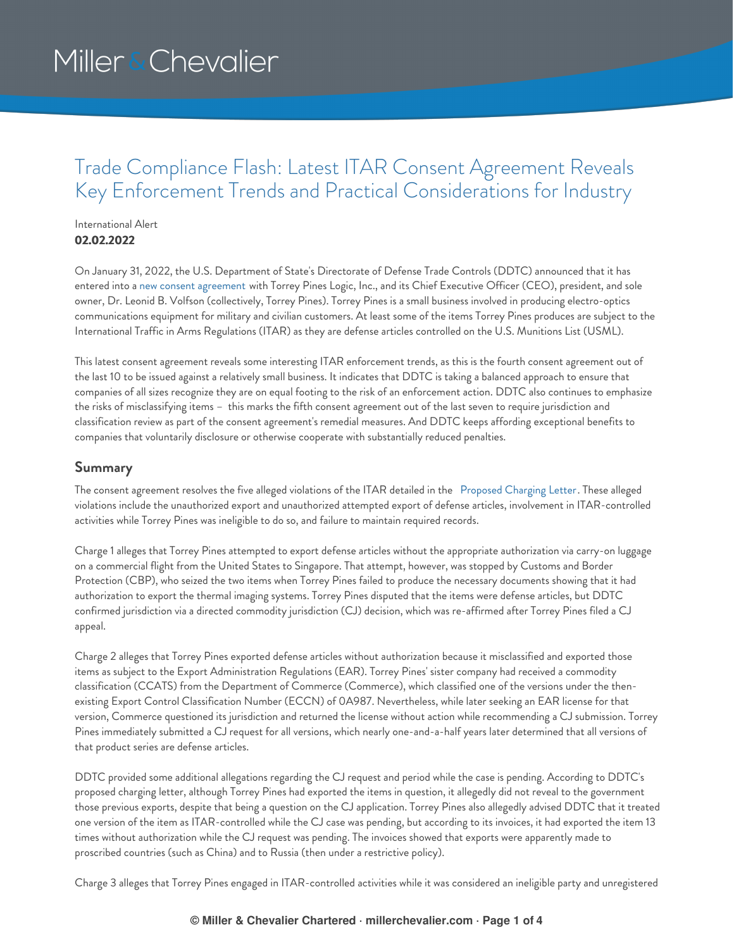## Trade Compliance Flash: Latest ITAR Consent Agreement Reveals Key Enforcement Trends and Practical Considerations for Industry

### International Alert **02.02.2022**

On January 31, 2022, the U.S. Department of State's Directorate of Defense Trade Controls (DDTC) announced that it has entered into a new consent [agreement](https://www.pmddtc.state.gov/sys_attachment.do?sysparm_referring_url=tear_off&view=true&sys_id=9a8529c31b5dcd90c6c3866ae54bcb32) with Torrey Pines Logic, Inc., and its Chief Executive Officer (CEO), president, and sole owner, Dr. Leonid B. Volfson (collectively, Torrey Pines). Torrey Pines is a small business involved in producing electro-optics communications equipment for military and civilian customers. At least some of the items Torrey Pines produces are subject to the International Traffic in Arms Regulations (ITAR) as they are defense articles controlled on the U.S. Munitions List (USML).

This latest consent agreement reveals some interesting ITAR enforcement trends, as this is the fourth consent agreement out of the last 10 to be issued against a relatively small business. It indicates that DDTC is taking a balanced approach to ensure that companies of all sizes recognize they are on equal footing to the risk of an enforcement action. DDTC also continues to emphasize the risks of misclassifying items – this marks the fifth consent agreement out of the last seven to require jurisdiction and classification review as part of the consent agreement's remedial measures. And DDTC keeps affording exceptional benefits to companies that voluntarily disclosure or otherwise cooperate with substantially reduced penalties.

### **Summary**

The consent agreement resolves the five alleged violations of the ITAR detailed in the [Proposed](https://www.pmddtc.state.gov/sys_attachment.do?sysparm_referring_url=tear_off&view=true&sys_id=5285a9c31b5dcd90c6c3866ae54bcb1c) Charging Letter. These alleged violations include the unauthorized export and unauthorized attempted export of defense articles, involvement in ITAR-controlled activities while Torrey Pines was ineligible to do so, and failure to maintain required records.

Charge 1 alleges that Torrey Pines attempted to export defense articles without the appropriate authorization via carry-on luggage on a commercial flight from the United States to Singapore. That attempt, however, was stopped by Customs and Border Protection (CBP), who seized the two items when Torrey Pines failed to produce the necessary documents showing that it had authorization to export the thermal imaging systems. Torrey Pines disputed that the items were defense articles, but DDTC confirmed jurisdiction via a directed commodity jurisdiction (CJ) decision, which was re-affirmed after Torrey Pines filed a CJ appeal.

Charge 2 alleges that Torrey Pines exported defense articles without authorization because it misclassified and exported those items as subject to the Export Administration Regulations (EAR). Torrey Pines' sister company had received a commodity classification (CCATS) from the Department of Commerce (Commerce), which classified one of the versions under the thenexisting Export Control Classification Number (ECCN) of 0A987. Nevertheless, while later seeking an EAR license for that version, Commerce questioned its jurisdiction and returned the license without action while recommending a CJ submission. Torrey Pines immediately submitted a CJ request for all versions, which nearly one-and-a-half years later determined that all versions of that product series are defense articles.

DDTC provided some additional allegations regarding the CJ request and period while the case is pending. According to DDTC's proposed charging letter, although Torrey Pines had exported the items in question, it allegedly did not reveal to the government those previous exports, despite that being a question on the CJ application. Torrey Pines also allegedly advised DDTC that it treated one version of the item as ITAR-controlled while the CJ case was pending, but according to its invoices, it had exported the item 13 times without authorization while the CJ request was pending. The invoices showed that exports were apparently made to proscribed countries (such as China) and to Russia (then under a restrictive policy).

Charge 3 alleges that Torrey Pines engaged in ITAR-controlled activities while it was considered an ineligible party and unregistered

#### **© Miller & Chevalier Chartered · millerchevalier.com · Page 1 of 4**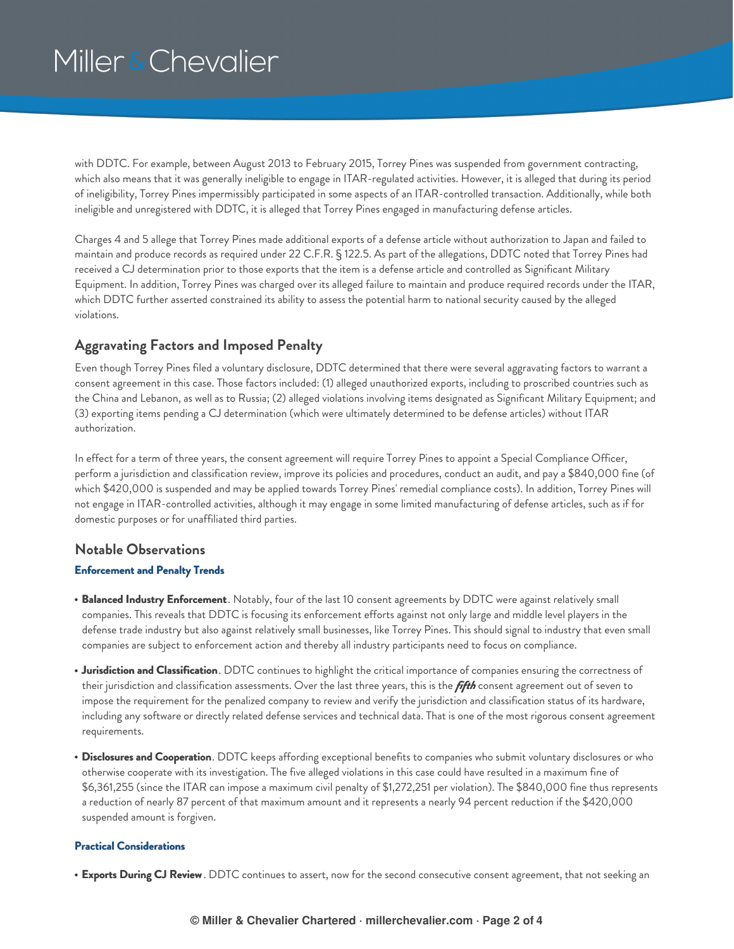with DDTC. For example, between August 2013 to February 2015, Torrey Pines was suspended from government contracting, which also means that it was generally ineligible to engage in ITAR-regulated activities. However, it is alleged that during its period of ineligibility, Torrey Pines impermissibly participated in some aspects of an ITAR-controlled transaction. Additionally, while both ineligible and unregistered with DDTC, it is alleged that Torrey Pines engaged in manufacturing defense articles.

Charges 4 and 5 allege that Torrey Pines made additional exports of a defense article without authorization to Japan and failed to maintain and produce records as required under 22 C.F.R. § 122.5. As part of the allegations, DDTC noted that Torrey Pines had received a CJ determination prior to those exports that the item is a defense article and controlled as Significant Military Equipment. In addition, Torrey Pines was charged over its alleged failure to maintain and produce required records under the ITAR, which DDTC further asserted constrained its ability to assess the potential harm to national security caused by the alleged violations.

### **Aggravating Factors and Imposed Penalty**

Even though Torrey Pines filed a voluntary disclosure, DDTC determined that there were several aggravating factors to warrant a consent agreement in this case. Those factors included: (1) alleged unauthorized exports, including to proscribed countries such as the China and Lebanon, as well as to Russia; (2) alleged violations involving items designated as Significant Military Equipment; and (3) exporting items pending a CJ determination (which were ultimately determined to be defense articles) without ITAR authorization.

In effect for a term of three years, the consent agreement will require Torrey Pines to appoint a Special Compliance Officer, perform a jurisdiction and classification review, improve its policies and procedures, conduct an audit, and pay a \$840,000 fine (of which \$420,000 is suspended and may be applied towards Torrey Pines' remedial compliance costs). In addition, Torrey Pines will not engage in ITAR-controlled activities, although it may engage in some limited manufacturing of defense articles, such as if for domestic purposes or for unaffiliated third parties.

### **Notable Observations**

#### **Enforcement and Penalty Trends**

- **Balanced Industry Enforcement**. Notably, four of the last 10 consent agreements by DDTC were against relatively small companies. This reveals that DDTC is focusing its enforcement efforts against not only large and middle level players in the defense trade industry but also against relatively small businesses, like Torrey Pines. This should signal to industry that even small companies are subject to enforcement action and thereby all industry participants need to focus on compliance.
- **Jurisdiction and Classification**. DDTC continues to highlight the critical importance of companies ensuring the correctness of their jurisdiction and classification assessments. Over the last three years, this is the *fifth* consent agreement out of seven to impose the requirement for the penalized company to review and verify the jurisdiction and classification status of its hardware, including any software or directly related defense services and technical data. That is one of the most rigorous consent agreement requirements.
- **Disclosures and Cooperation**. DDTC keeps affording exceptional benefits to companies who submit voluntary disclosures or who otherwise cooperate with its investigation. The five alleged violations in this case could have resulted in a maximum fine of \$6,361,255 (since the ITAR can impose a maximum civil penalty of \$1,272,251 per violation). The \$840,000 fine thus represents a reduction of nearly 87 percent of that maximum amount and it represents a nearly 94 percent reduction if the \$420,000 suspended amount is forgiven.

#### **Practical Considerations**

**Exports During CJ Review**. DDTC continues to assert, now for the second consecutive consent agreement, that not seeking an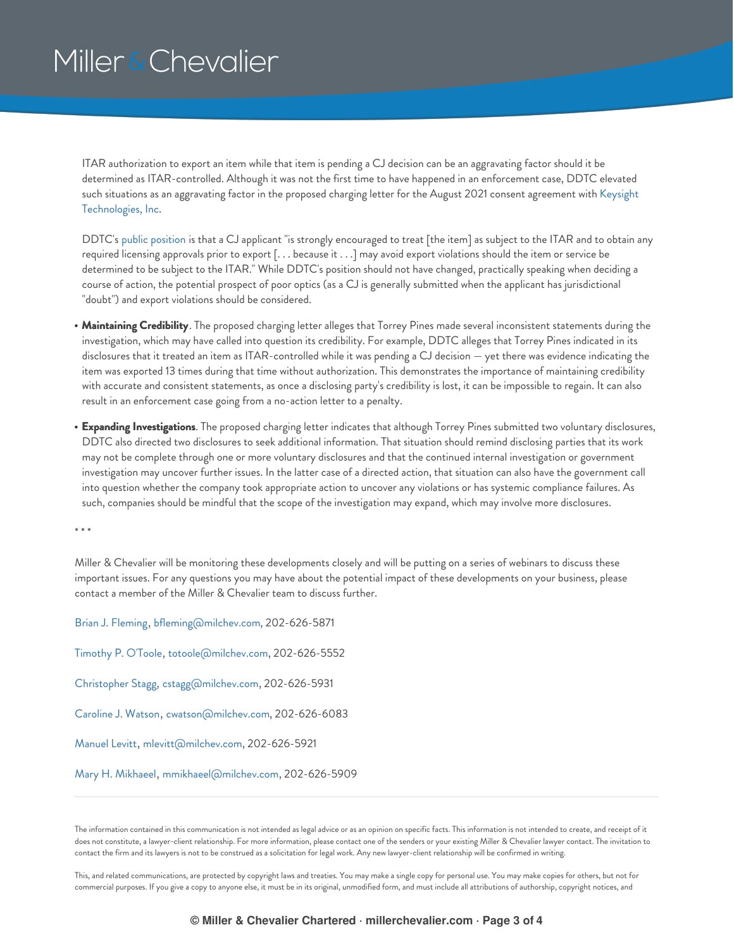ITAR authorization to export an item while that item is pending a CJ decision can be an aggravating factor should it be determined as ITAR-controlled. Although it was not the first time to have happened in an enforcement case, DDTC elevated such situations as an aggravating factor in the proposed charging letter for the August 2021 consent agreement with Keysight [Technologies,](https://www.millerchevalier.com/publication/lessons-exporters-ddtcs-itar-consent-agreement-keysight-technologies) Inc.

DDTC's public [position](https://tinyurl.com/rw4j2r34) is that a CJ applicant "is strongly encouraged to treat [the item] as subject to the ITAR and to obtain any required licensing approvals prior to export [. . . because it . . .] may avoid export violations should the item or service be determined to be subject to the ITAR." While DDTC's position should not have changed, practically speaking when deciding a course of action, the potential prospect of poor optics (as a CJ is generally submitted when the applicant has jurisdictional "doubt") and export violations should be considered.

- **Maintaining Credibility**. The proposed charging letter alleges that Torrey Pines made several inconsistent statements during the investigation, which may have called into question its credibility. For example, DDTC alleges that Torrey Pines indicated in its disclosures that it treated an item as ITAR-controlled while it was pending a CJ decision — yet there was evidence indicating the item was exported 13 times during that time without authorization. This demonstrates the importance of maintaining credibility with accurate and consistent statements, as once a disclosing party's credibility is lost, it can be impossible to regain. It can also result in an enforcement case going from a no-action letter to a penalty.
- **Expanding Investigations**. The proposed charging letter indicates that although Torrey Pines submitted two voluntary disclosures, DDTC also directed two disclosures to seek additional information. That situation should remind disclosing parties that its work may not be complete through one or more voluntary disclosures and that the continued internal investigation or government investigation may uncover further issues. In the latter case of a directed action, that situation can also have the government call into question whether the company took appropriate action to uncover any violations or has systemic compliance failures. As such, companies should be mindful that the scope of the investigation may expand, which may involve more disclosures.

\* \* \*

Miller & Chevalier will be monitoring these developments closely and will be putting on a series of webinars to discuss these important issues. For any questions you may have about the potential impact of these developments on your business, please contact a member of the Miller & Chevalier team to discuss further.

Brian J. [Fleming](https://www.millerchevalier.com/professional/brian-j-fleming), [bfleming@milchev.com](mailto:bfleming@milchev.com), 202-626-5871 [Timothy](https://www.millerchevalier.com/professional/timothy-p-otoole) P. O'Toole, [totoole@milchev.com,](mailto:totoole@milchev.com) 202-626-5552 [Christopher](https://www.millerchevalier.com/professional/christopher-stagg) Stagg, [cstagg@milchev.com](mailto:cstagg@milchev.com), 202-626-5931 [Caroline](https://www.millerchevalier.com/professional/caroline-j-watson) J. Watson, [cwatson@milchev.com](mailto:cwatson@milchev.com), 202-626-6083 [Manuel](https://www.millerchevalier.com/professional/manuel-levitt) Levitt, [mlevitt@milchev.com](mailto:mlevitt@milchev.com), 202-626-5921 Mary H. [Mikhaeel](https://www.millerchevalier.com/professional/mary-h-mikhaeel), [mmikhaeel@milchev.com](mailto:mmikhaeel@milchev.com), 202-626-5909

The information contained in this communication is not intended as legal advice or as an opinion on specific facts. This information is not intended to create, and receipt of it does not constitute, a lawyer-client relationship. For more information, please contact one of the senders or your existing Miller & Chevalier lawyer contact. The invitation to contact the firm and its lawyers is not to be construed as a solicitation for legal work. Any new lawyer-client relationship will be confirmed in writing.

This, and related communications, are protected by copyright laws and treaties. You may make a single copy for personal use. You may make copies for others, but not for commercial purposes. If you give a copy to anyone else, it must be in its original, unmodified form, and must include all attributions of authorship, copyright notices, and